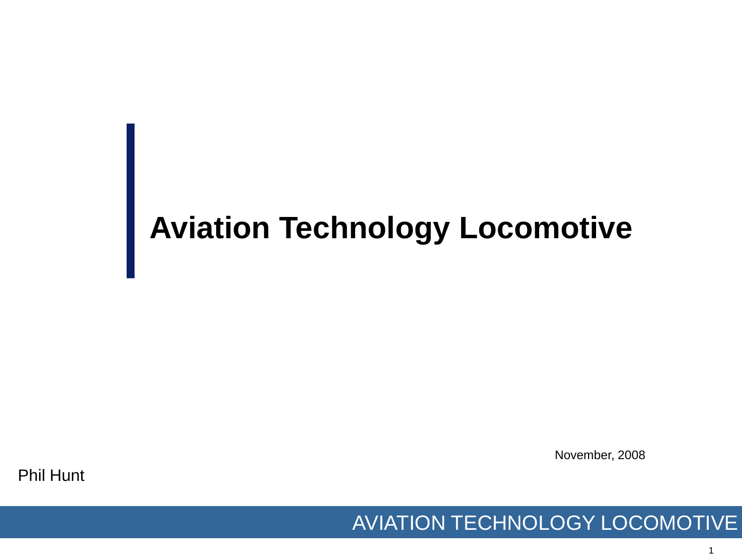## **Aviation Technology Locomotive**

November, 2008

Phil Hunt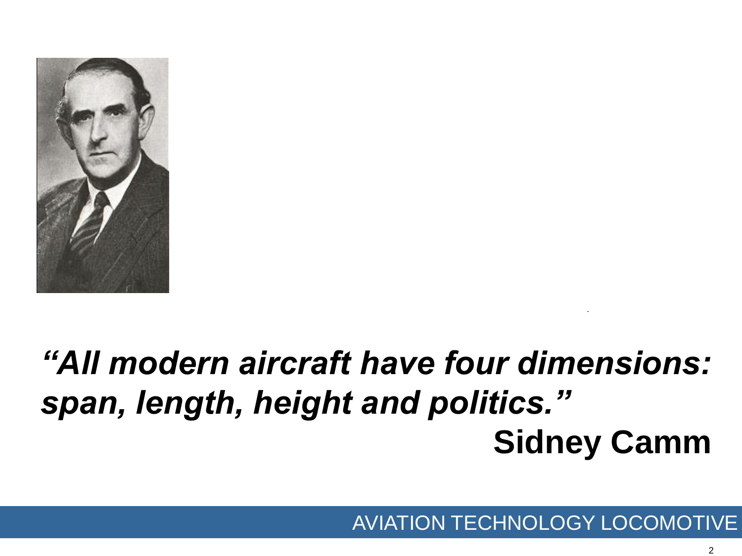

# *"All modern aircraft have four dimensions: span, length, height and politics."*  **Sidney Camm**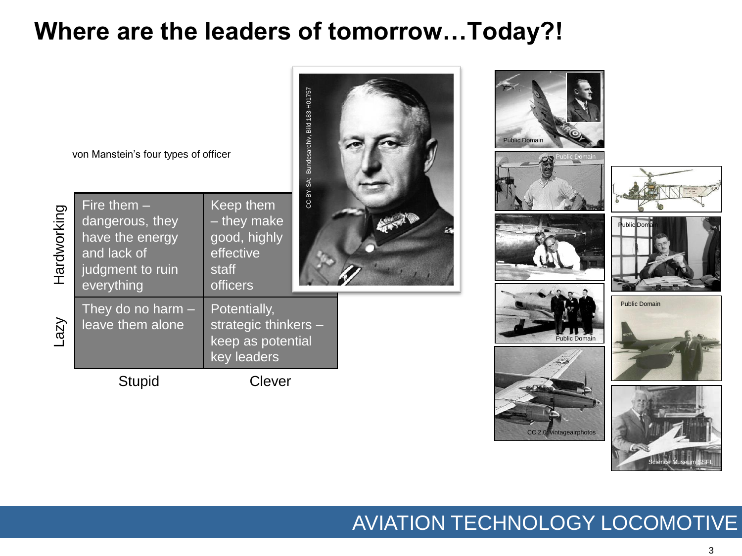## **Where are the leaders of tomorrow…Today?!**



#### AVIATION TECHNOLOGY LOCOMOTIVE

Science Museum SSFL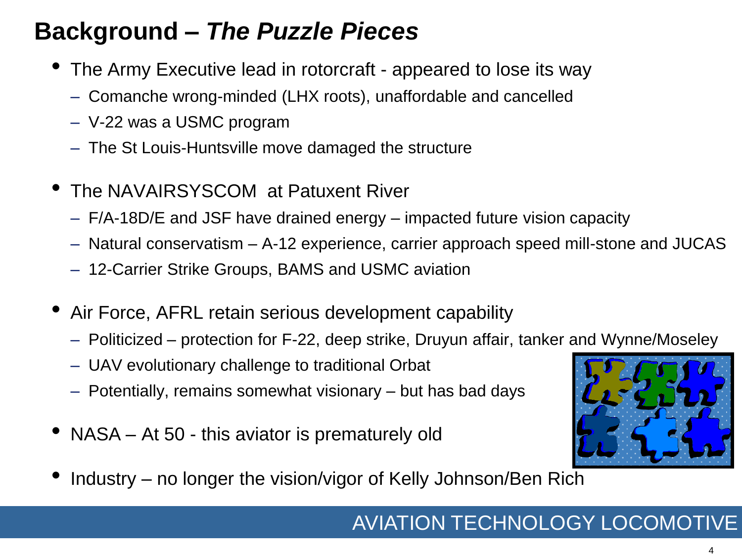## **Background –** *The Puzzle Pieces*

- The Army Executive lead in rotorcraft appeared to lose its way
	- Comanche wrong-minded (LHX roots), unaffordable and cancelled
	- V-22 was a USMC program
	- The St Louis-Huntsville move damaged the structure
- The NAVAIRSYSCOM at Patuxent River
	- F/A-18D/E and JSF have drained energy impacted future vision capacity
	- Natural conservatism A-12 experience, carrier approach speed mill-stone and JUCAS
	- 12-Carrier Strike Groups, BAMS and USMC aviation
- Air Force, AFRL retain serious development capability
	- Politicized protection for F-22, deep strike, Druyun affair, tanker and Wynne/Moseley
	- UAV evolutionary challenge to traditional Orbat
	- Potentially, remains somewhat visionary but has bad days
- NASA At 50 this aviator is prematurely old



• Industry – no longer the vision/vigor of Kelly Johnson/Ben Rich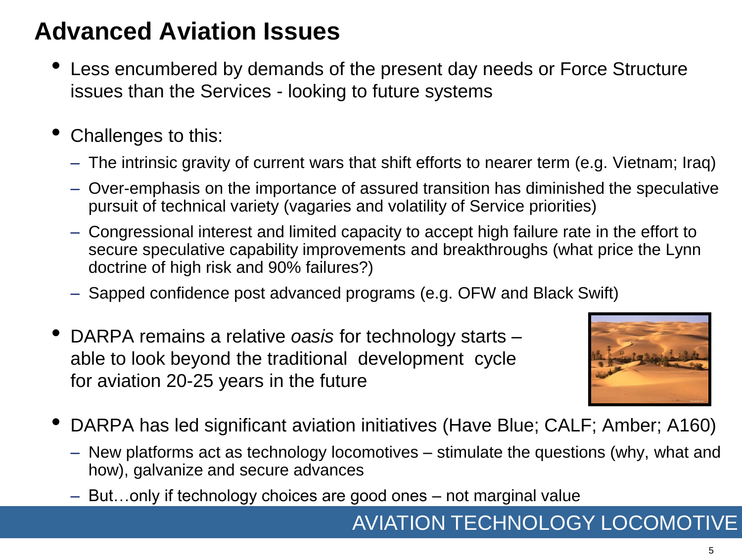## **Advanced Aviation Issues**

- Less encumbered by demands of the present day needs or Force Structure issues than the Services - looking to future systems
- Challenges to this:
	- The intrinsic gravity of current wars that shift efforts to nearer term (e.g. Vietnam; Iraq)
	- Over-emphasis on the importance of assured transition has diminished the speculative pursuit of technical variety (vagaries and volatility of Service priorities)
	- Congressional interest and limited capacity to accept high failure rate in the effort to secure speculative capability improvements and breakthroughs (what price the Lynn doctrine of high risk and 90% failures?)
	- Sapped confidence post advanced programs (e.g. OFW and Black Swift)
- DARPA remains a relative *oasis* for technology starts able to look beyond the traditional development cycle – for aviation 20-25 years in the future



- DARPA has led significant aviation initiatives (Have Blue; CALF; Amber; A160)
	- New platforms act as technology locomotives stimulate the questions (why, what and how), galvanize and secure advances
	- But…only if technology choices are good ones not marginal value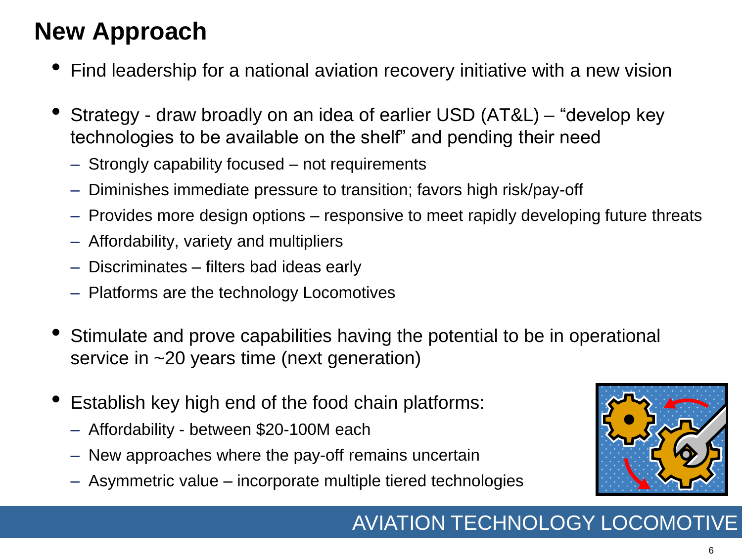## **New Approach**

- Find leadership for a national aviation recovery initiative with a new vision
- Strategy draw broadly on an idea of earlier USD (AT&L) "develop key technologies to be available on the shelf" and pending their need
	- Strongly capability focused not requirements
	- Diminishes immediate pressure to transition; favors high risk/pay-off
	- Provides more design options responsive to meet rapidly developing future threats
	- Affordability, variety and multipliers
	- Discriminates filters bad ideas early
	- Platforms are the technology Locomotives
- Stimulate and prove capabilities having the potential to be in operational service in ~20 years time (next generation)
- Establish key high end of the food chain platforms:
	- Affordability between \$20-100M each
	- New approaches where the pay-off remains uncertain
	- Asymmetric value incorporate multiple tiered technologies

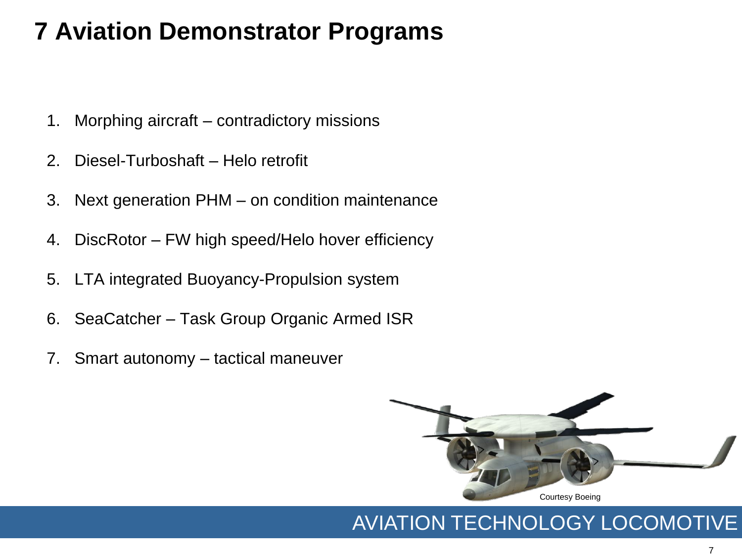## **7 Aviation Demonstrator Programs**

- 1. Morphing aircraft contradictory missions
- 2. Diesel-Turboshaft Helo retrofit
- 3. Next generation PHM on condition maintenance
- 4. DiscRotor FW high speed/Helo hover efficiency
- 5. LTA integrated Buoyancy-Propulsion system
- 6. SeaCatcher Task Group Organic Armed ISR
- 7. Smart autonomy tactical maneuver